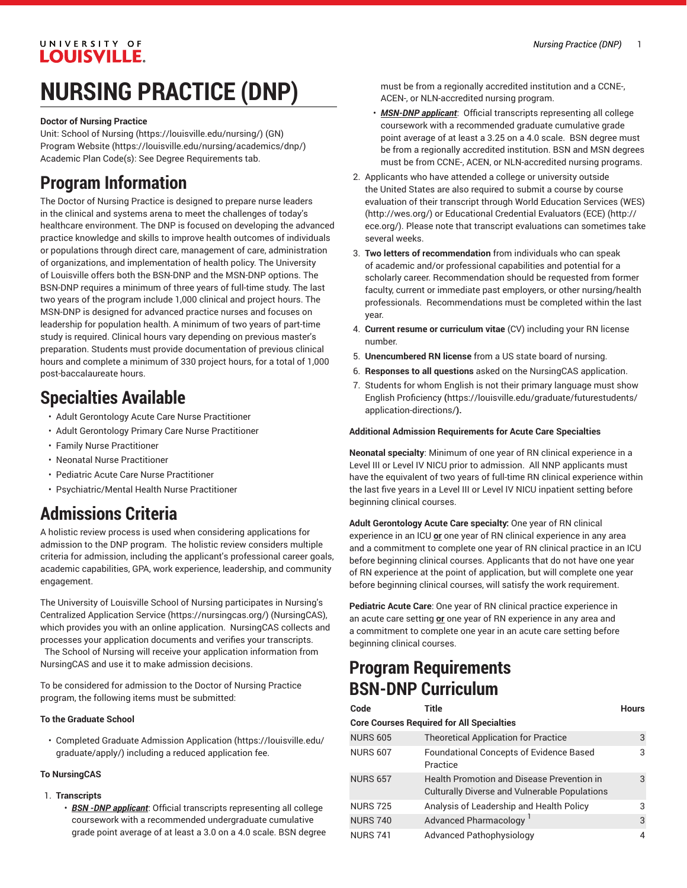#### UNIVERSITY OF **LOUISVILLE.**

# **NURSING PRACTICE (DNP)**

#### **Doctor of Nursing Practice**

Unit: [School of Nursing](https://louisville.edu/nursing/) ([https://louisville.edu/nursing/\)](https://louisville.edu/nursing/) (GN) [Program](https://louisville.edu/nursing/academics/dnp/) Website [\(https://louisville.edu/nursing/academics/dnp/](https://louisville.edu/nursing/academics/dnp/)) Academic Plan Code(s): See Degree Requirements tab.

### **Program Information**

The Doctor of Nursing Practice is designed to prepare nurse leaders in the clinical and systems arena to meet the challenges of today's healthcare environment. The DNP is focused on developing the advanced practice knowledge and skills to improve health outcomes of individuals or populations through direct care, management of care, administration of organizations, and implementation of health policy. The University of Louisville offers both the BSN-DNP and the MSN-DNP options. The BSN-DNP requires a minimum of three years of full-time study. The last two years of the program include 1,000 clinical and project hours. The MSN-DNP is designed for advanced practice nurses and focuses on leadership for population health. A minimum of two years of part-time study is required. Clinical hours vary depending on previous master's preparation. Students must provide documentation of previous clinical hours and complete a minimum of 330 project hours, for a total of 1,000 post-baccalaureate hours.

### **Specialties Available**

- Adult Gerontology Acute Care Nurse Practitioner
- Adult Gerontology Primary Care Nurse Practitioner
- Family Nurse Practitioner
- Neonatal Nurse Practitioner
- Pediatric Acute Care Nurse Practitioner
- Psychiatric/Mental Health Nurse Practitioner

## **Admissions Criteria**

A holistic review process is used when considering applications for admission to the DNP program. The holistic review considers multiple criteria for admission, including the applicant's professional career goals, academic capabilities, GPA, work experience, leadership, and community engagement.

The University of Louisville School of Nursing participates in [Nursing's](https://nursingcas.org/) Centralized [Application](https://nursingcas.org/) Service [\(https://nursingcas.org/\)](https://nursingcas.org/) (NursingCAS), which provides you with an online application. NursingCAS collects and processes your application documents and verifies your transcripts.

The School of Nursing will receive your application information from NursingCAS and use it to make admission decisions.

To be considered for admission to the Doctor of Nursing Practice program, the following items must be submitted:

#### **To the Graduate School**

• Completed [Graduate Admission Application \(https://louisville.edu/](https://louisville.edu/graduate/apply/) [graduate/apply/](https://louisville.edu/graduate/apply/)) including a reduced application fee.

#### **To NursingCAS**

- 1. **Transcripts**
	- *BSN -DNP applicant*: Official transcripts representing all college coursework with a recommended undergraduate cumulative grade point average of at least a 3.0 on a 4.0 scale. BSN degree

must be from a regionally accredited institution and a CCNE-, ACEN-, or NLN-accredited nursing program.

- *MSN-DNP applicant*: Official transcripts representing all college coursework with a recommended graduate cumulative grade point average of at least a 3.25 on a 4.0 scale. BSN degree must be from a regionally accredited institution. BSN and MSN degrees must be from CCNE-, ACEN, or NLN-accredited nursing programs.
- 2. Applicants who have attended a college or university outside the United States are also required to submit a course by course evaluation of their transcript through World [Education](http://wes.org/) Services (WES) [\(http://wes.org/\)](http://wes.org/) or [Educational](http://ece.org/) Credential Evaluators (ECE) [\(http://](http://ece.org/) [ece.org/](http://ece.org/)). Please note that transcript evaluations can sometimes take several weeks.
- 3. **Two letters of recommendation** from individuals who can speak of academic and/or professional capabilities and potential for a scholarly career. Recommendation should be requested from former faculty, current or immediate past employers, or other nursing/health professionals. Recommendations must be completed within the last year.
- 4. **Current resume or curriculum vitae** (CV) including your RN license number.
- 5. **Unencumbered RN license** from a US state board of nursing.
- 6. **Responses to all questions** asked on the NursingCAS application.
- 7. Students for whom English is not their primary language must show English [Proficiency](https://louisville.edu/graduate/futurestudents/application-directions/) **(**[https://louisville.edu/graduate/futurestudents/](https://louisville.edu/graduate/futurestudents/application-directions/) [application-directions/](https://louisville.edu/graduate/futurestudents/application-directions/)**).**

#### **Additional Admission Requirements for Acute Care Specialties**

**Neonatal specialty**: Minimum of one year of RN clinical experience in a Level III or Level IV NICU prior to admission. All NNP applicants must have the equivalent of two years of full-time RN clinical experience within the last five years in a Level III or Level IV NICU inpatient setting before beginning clinical courses.

**Adult Gerontology Acute Care specialty:** One year of RN clinical experience in an ICU **or** one year of RN clinical experience in any area and a commitment to complete one year of RN clinical practice in an ICU before beginning clinical courses. Applicants that do not have one year of RN experience at the point of application, but will complete one year before beginning clinical courses, will satisfy the work requirement.

**Pediatric Acute Care**: One year of RN clinical practice experience in an acute care setting **or** one year of RN experience in any area and a commitment to complete one year in an acute care setting before beginning clinical courses.

### **Program Requirements BSN-DNP Curriculum**

| Code            | Title                                                                                       | <b>Hours</b> |
|-----------------|---------------------------------------------------------------------------------------------|--------------|
|                 | <b>Core Courses Required for All Specialties</b>                                            |              |
| <b>NURS 605</b> | <b>Theoretical Application for Practice</b>                                                 | 3            |
| <b>NURS 607</b> | <b>Foundational Concepts of Evidence Based</b><br>Practice                                  | 3            |
| <b>NURS 657</b> | Health Promotion and Disease Prevention in<br>Culturally Diverse and Vulnerable Populations | 3            |
| <b>NURS 725</b> | Analysis of Leadership and Health Policy                                                    | 3            |
| <b>NURS 740</b> | Advanced Pharmacology                                                                       | 3            |
| <b>NURS 741</b> | <b>Advanced Pathophysiology</b>                                                             | 4            |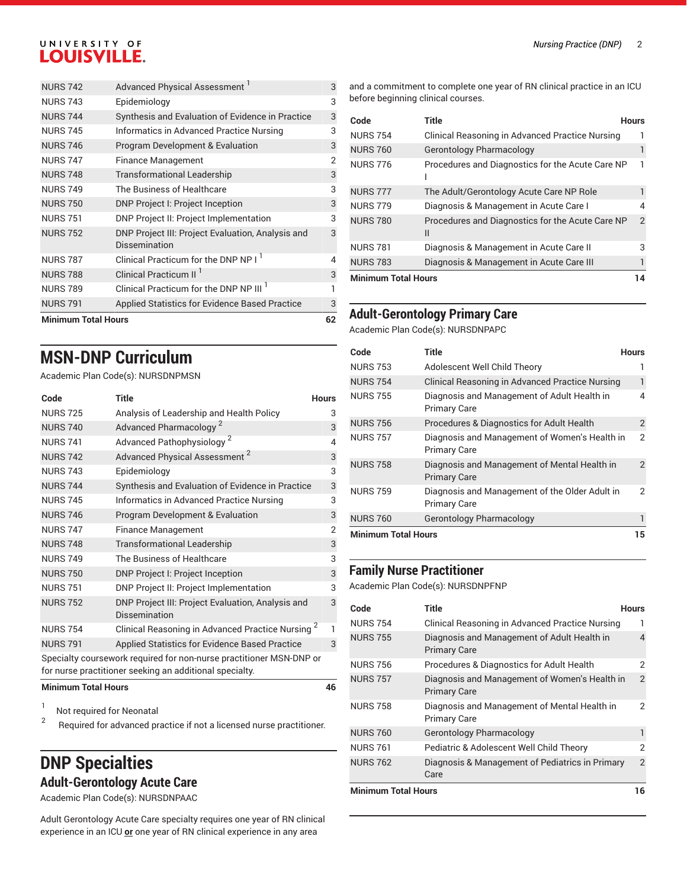### UNIVERSITY OF LOUISVILLE.

| <b>Minimum Total Hours</b> |                                                                    | 62 |
|----------------------------|--------------------------------------------------------------------|----|
| <b>NURS 791</b>            | Applied Statistics for Evidence Based Practice                     | 3  |
| <b>NURS 789</b>            | Clinical Practicum for the DNP NP III <sup>1</sup>                 | 1  |
| <b>NURS 788</b>            | Clinical Practicum II <sup>1</sup>                                 | 3  |
| <b>NURS 787</b>            | Clinical Practicum for the DNP NP I <sup>1</sup>                   | 4  |
| <b>NURS 752</b>            | DNP Project III: Project Evaluation, Analysis and<br>Dissemination | 3  |
| <b>NURS 751</b>            | DNP Project II: Project Implementation                             | 3  |
| <b>NURS 750</b>            | DNP Project I: Project Inception                                   | 3  |
| <b>NURS 749</b>            | The Business of Healthcare                                         | 3  |
| <b>NURS 748</b>            | <b>Transformational Leadership</b>                                 | 3  |
| <b>NURS 747</b>            | <b>Finance Management</b>                                          | 2  |
| <b>NURS 746</b>            | <b>Program Development &amp; Evaluation</b>                        | 3  |
| <b>NURS 745</b>            | Informatics in Advanced Practice Nursing                           | 3  |
| <b>NURS 744</b>            | Synthesis and Evaluation of Evidence in Practice                   | 3  |
| <b>NURS 743</b>            | Epidemiology                                                       | 3  |
| <b>NURS 742</b>            | Advanced Physical Assessment <sup>1</sup>                          | 3  |

### **MSN-DNP Curriculum**

Academic Plan Code(s): NURSDNPMSN

| Code                       | <b>Title</b>                                                                                                                   | <b>Hours</b>   |
|----------------------------|--------------------------------------------------------------------------------------------------------------------------------|----------------|
| <b>NURS 725</b>            | Analysis of Leadership and Health Policy                                                                                       | 3              |
| <b>NURS 740</b>            | Advanced Pharmacology <sup>2</sup>                                                                                             | 3              |
| <b>NURS 741</b>            | Advanced Pathophysiology <sup>2</sup>                                                                                          | $\overline{4}$ |
| <b>NURS 742</b>            | Advanced Physical Assessment <sup>2</sup>                                                                                      | 3              |
| <b>NURS 743</b>            | Epidemiology                                                                                                                   | 3              |
| <b>NURS 744</b>            | Synthesis and Evaluation of Evidence in Practice                                                                               | 3              |
| <b>NURS 745</b>            | Informatics in Advanced Practice Nursing                                                                                       | 3              |
| <b>NURS 746</b>            | Program Development & Evaluation                                                                                               | 3              |
| <b>NURS 747</b>            | <b>Finance Management</b>                                                                                                      | $\overline{2}$ |
| <b>NURS 748</b>            | <b>Transformational Leadership</b>                                                                                             | 3              |
| <b>NURS 749</b>            | The Business of Healthcare                                                                                                     | 3              |
| <b>NURS 750</b>            | DNP Project I: Project Inception                                                                                               | 3              |
| <b>NURS 751</b>            | DNP Project II: Project Implementation                                                                                         | 3              |
| <b>NURS 752</b>            | DNP Project III: Project Evaluation, Analysis and<br>Dissemination                                                             | 3              |
| <b>NURS 754</b>            | Clinical Reasoning in Advanced Practice Nursing <sup>2</sup>                                                                   | 1              |
| <b>NURS 791</b>            | Applied Statistics for Evidence Based Practice                                                                                 | 3              |
|                            | Specialty coursework required for non-nurse practitioner MSN-DNP or<br>for nurse practitioner seeking an additional specialty. |                |
| <b>Minimum Total Hours</b> |                                                                                                                                | 46             |

1 Not required for Neonatal

2 Required for advanced practice if not a licensed nurse practitioner.

### **DNP Specialties Adult-Gerontology Acute Care**

Academic Plan Code(s): NURSDNPAAC

Adult Gerontology Acute Care specialty requires one year of RN clinical experience in an ICU **or** one year of RN clinical experience in any area

and a commitment to complete one year of RN clinical practice in an ICU before beginning clinical courses.

| Code                       | Title                                                 | Hours          |
|----------------------------|-------------------------------------------------------|----------------|
| <b>NURS 754</b>            | Clinical Reasoning in Advanced Practice Nursing       |                |
| <b>NURS 760</b>            | Gerontology Pharmacology                              |                |
| <b>NURS 776</b>            | Procedures and Diagnostics for the Acute Care NP      |                |
| <b>NURS 777</b>            | The Adult/Gerontology Acute Care NP Role              |                |
| <b>NURS 779</b>            | Diagnosis & Management in Acute Care I                | 4              |
| <b>NURS 780</b>            | Procedures and Diagnostics for the Acute Care NP<br>Ш | $\overline{2}$ |
| <b>NURS 781</b>            | Diagnosis & Management in Acute Care II               | 3              |
| <b>NURS 783</b>            | Diagnosis & Management in Acute Care III              |                |
| <b>Minimum Total Hours</b> |                                                       |                |

### **Adult-Gerontology Primary Care**

Academic Plan Code(s): NURSDNPAPC

| Code                       | Title                                                                 | <b>Hours</b>  |
|----------------------------|-----------------------------------------------------------------------|---------------|
| <b>NURS 753</b>            | Adolescent Well Child Theory                                          |               |
| <b>NURS 754</b>            | Clinical Reasoning in Advanced Practice Nursing                       | 1             |
| <b>NURS 755</b>            | Diagnosis and Management of Adult Health in<br><b>Primary Care</b>    | 4             |
| <b>NURS 756</b>            | Procedures & Diagnostics for Adult Health                             | 2             |
| <b>NURS 757</b>            | Diagnosis and Management of Women's Health in<br><b>Primary Care</b>  | 2             |
| <b>NURS 758</b>            | Diagnosis and Management of Mental Health in<br><b>Primary Care</b>   | $\mathcal{P}$ |
| <b>NURS 759</b>            | Diagnosis and Management of the Older Adult in<br><b>Primary Care</b> | 2             |
| <b>NURS 760</b>            | Gerontology Pharmacology                                              |               |
| <b>Minimum Total Hours</b> |                                                                       |               |

### **Family Nurse Practitioner**

Academic Plan Code(s): NURSDNPFNP

| Code                       | <b>Title</b>                                                         | Hours          |
|----------------------------|----------------------------------------------------------------------|----------------|
| <b>NURS 754</b>            | Clinical Reasoning in Advanced Practice Nursing                      | ı              |
| <b>NURS 755</b>            | Diagnosis and Management of Adult Health in<br><b>Primary Care</b>   | 4              |
| <b>NURS 756</b>            | Procedures & Diagnostics for Adult Health                            | 2              |
| <b>NURS 757</b>            | Diagnosis and Management of Women's Health in<br><b>Primary Care</b> | $\overline{2}$ |
| <b>NURS 758</b>            | Diagnosis and Management of Mental Health in<br><b>Primary Care</b>  | 2              |
| <b>NURS 760</b>            | Gerontology Pharmacology                                             | 1              |
| <b>NURS 761</b>            | Pediatric & Adolescent Well Child Theory                             | 2              |
| <b>NURS 762</b>            | Diagnosis & Management of Pediatrics in Primary<br>Care              | $\overline{2}$ |
| <b>Minimum Total Hours</b> |                                                                      | 16             |